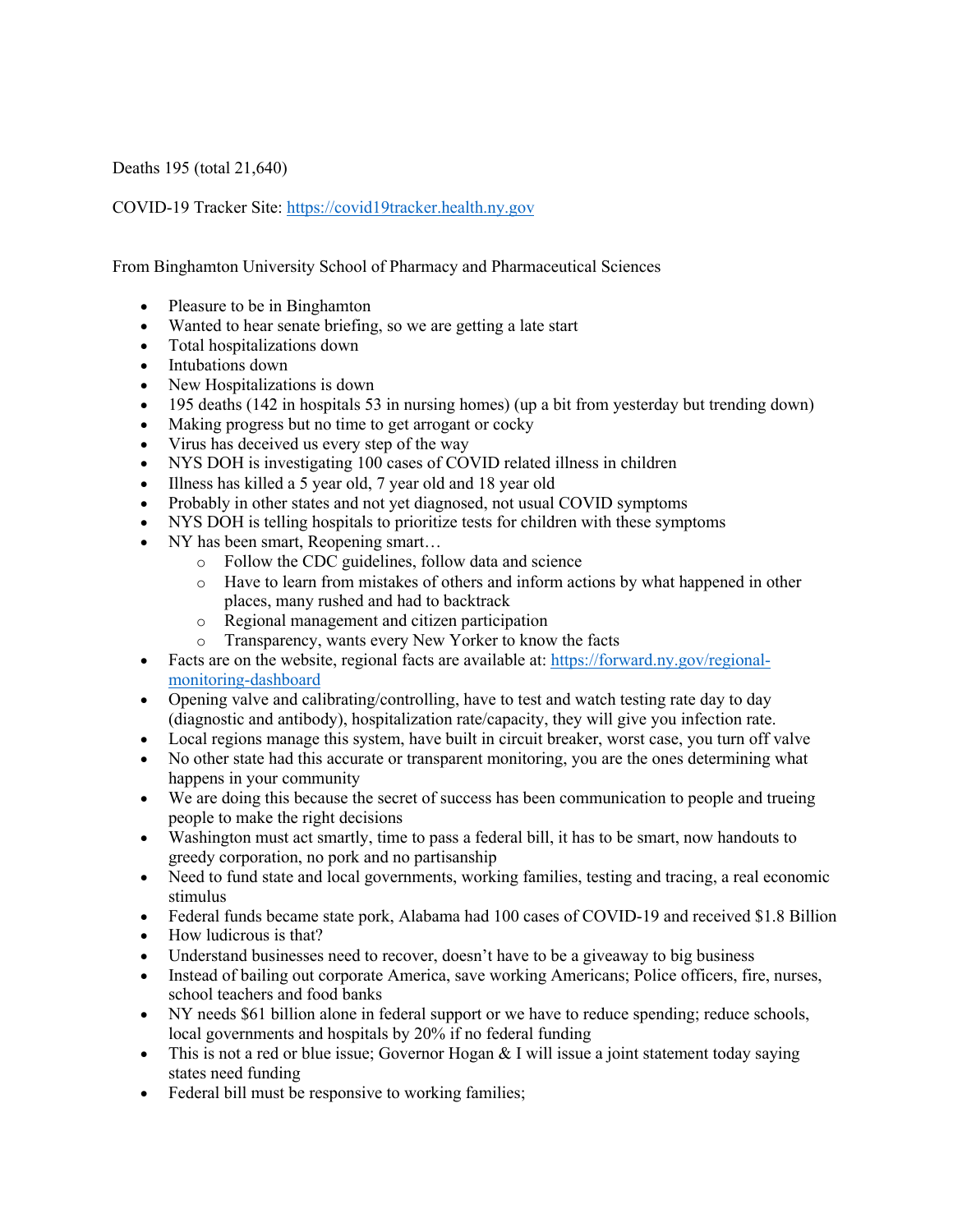Deaths 195 (total 21,640)

COVID-19 Tracker Site: https://covid19tracker.health.ny.gov

From Binghamton University School of Pharmacy and Pharmaceutical Sciences

- Pleasure to be in Binghamton
- Wanted to hear senate briefing, so we are getting a late start
- Total hospitalizations down
- Intubations down
- New Hospitalizations is down
- 195 deaths (142 in hospitals 53 in nursing homes) (up a bit from yesterday but trending down)
- Making progress but no time to get arrogant or cocky
- Virus has deceived us every step of the way
- NYS DOH is investigating 100 cases of COVID related illness in children
- Illness has killed a 5 year old, 7 year old and 18 year old
- Probably in other states and not yet diagnosed, not usual COVID symptoms
- NYS DOH is telling hospitals to prioritize tests for children with these symptoms
- NY has been smart, Reopening smart...
	- o Follow the CDC guidelines, follow data and science
	- o Have to learn from mistakes of others and inform actions by what happened in other places, many rushed and had to backtrack
	- o Regional management and citizen participation
	- o Transparency, wants every New Yorker to know the facts
- Facts are on the website, regional facts are available at: https://forward.ny.gov/regionalmonitoring-dashboard
- Opening valve and calibrating/controlling, have to test and watch testing rate day to day (diagnostic and antibody), hospitalization rate/capacity, they will give you infection rate.
- Local regions manage this system, have built in circuit breaker, worst case, you turn off valve
- No other state had this accurate or transparent monitoring, you are the ones determining what happens in your community
- We are doing this because the secret of success has been communication to people and trueing people to make the right decisions
- Washington must act smartly, time to pass a federal bill, it has to be smart, now handouts to greedy corporation, no pork and no partisanship
- Need to fund state and local governments, working families, testing and tracing, a real economic stimulus
- Federal funds became state pork, Alabama had 100 cases of COVID-19 and received \$1.8 Billion
- How ludicrous is that?
- Understand businesses need to recover, doesn't have to be a giveaway to big business
- Instead of bailing out corporate America, save working Americans; Police officers, fire, nurses, school teachers and food banks
- NY needs \$61 billion alone in federal support or we have to reduce spending; reduce schools, local governments and hospitals by 20% if no federal funding
- This is not a red or blue issue; Governor Hogan  $&$  I will issue a joint statement today saying states need funding
- Federal bill must be responsive to working families;